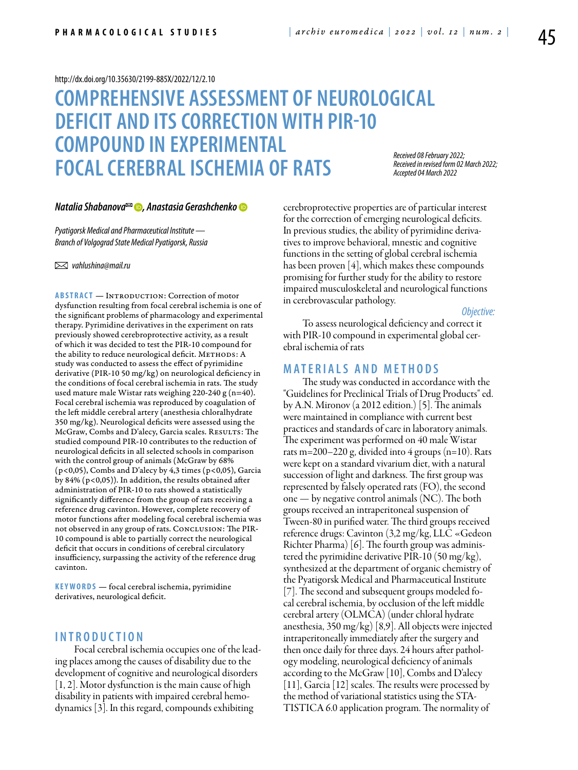#### <http://dx.doi.org/10.35630/2199-885X/2022/12/2.10>

# **COMPREHENSIVE ASSESSMENT OF NEUROLOGICAL DEFICIT AND ITS CORRECTION WITH PIR-10 COMPOUND IN EXPERIMENTAL FOCAL CEREBRAL ISCHEMIA OF RATS**

*Received 08 February 2022; Received in revised form 02 March 2022; Accepted 04 March 2022*

#### *[Natalia Shabanova](http://orcid.org/0000-0002-7693-5182) , [Anastasia Gerashchenko](https://orcid.org/0000-0003-0294-2926)*

*Pyatigorsk Medical and Pharmaceutical Institute — Branch of Volgograd State Medical Pyatigorsk, Russia* 

 *vahlushina@mail.ru* 

**Abstract** — Introduction: Correction of motor dysfunction resulting from focal cerebral ischemia is one of the significant problems of pharmacology and experimental therapy. Pyrimidine derivatives in the experiment on rats previously showed cerebroprotective activity, as a result of which it was decided to test the PIR-10 compound for the ability to reduce neurological deficit. METHODS: A study was conducted to assess the effect of pyrimidine derivative (PIR-10 50 mg/kg) on neurological deficiency in the conditions of focal cerebral ischemia in rats. The study used mature male Wistar rats weighing 220-240 g (n=40). Focal cerebral ischemia was reproduced by coagulation of the left middle cerebral artery (anesthesia chloralhydrate 350 mg/kg). Neurological deficits were assessed using the McGraw, Combs and D'alecy, Garcia scales. RESULTS: The studied compound PIR-10 contributes to the reduction of neurological deficits in all selected schools in comparison with the control group of animals (McGraw by 68% (p<0,05), Combs and D'alecy by 4,3 times (p<0,05), Garcia by 84% (p<0,05)). In addition, the results obtained after administration of PIR-10 to rats showed a statistically significantly difference from the group of rats receiving a reference drug cavinton. However, complete recovery of motor functions after modeling focal cerebral ischemia was not observed in any group of rats. CONCLUSION: The PIR-10 compound is able to partially correct the neurological deficit that occurs in conditions of cerebral circulatory insufficiency, surpassing the activity of the reference drug cavinton.

**K eywords** — focal cerebral ischemia, pyrimidine derivatives, neurological deficit.

## **I n t r o ducti o n**

Focal cerebral ischemia occupies one of the leading places among the causes of disability due to the development of cognitive and neurological disorders  $[1, 2]$ . Motor dysfunction is the main cause of high disability in patients with impaired cerebral hemodynamics [3]. In this regard, compounds exhibiting

cerebroprotective properties are of particular interest for the correction of emerging neurological deficits. In previous studies, the ability of pyrimidine derivatives to improve behavioral, mnestic and cognitive functions in the setting of global cerebral ischemia has been proven [4], which makes these compounds promising for further study for the ability to restore impaired musculoskeletal and neurological functions in cerebrovascular pathology.

*Objective:* 

To assess neurological deficiency and correct it with PIR-10 compound in experimental global cerebral ischemia of rats

## **Mat e rials a n d me t h o d s**

The study was conducted in accordance with the "Guidelines for Preclinical Trials of Drug Products" ed. by A.N. Mironov (a 2012 edition.) [5]. The animals were maintained in compliance with current best practices and standards of care in laboratory animals. The experiment was performed on 40 male Wistar rats m=200–220 g, divided into 4 groups (n=10). Rats were kept on a standard vivarium diet, with a natural succession of light and darkness. The first group was represented by falsely operated rats (FO), the second one — by negative control animals (NC). The both groups received an intraperitoneal suspension of Tween-80 in purified water. The third groups received reference drugs: Cavinton (3,2 mg/kg, LLC «Gedeon Richter Pharma) [6]. The fourth group was administered the pyrimidine derivative PIR-10 (50 mg/kg), synthesized at the department of organic chemistry of the Pyatigorsk Medical and Pharmaceutical Institute [7]. The second and subsequent groups modeled focal cerebral ischemia, by occlusion of the left middle cerebral artery (OLMCA) (under chloral hydrate anesthesia, 350 mg/kg) [8,9]. All objects were injected intraperitoneally immediately after the surgery and then once daily for three days. 24 hours after pathology modeling, neurological deficiency of animals according to the McGraw [10], Combs and D'alecy [11], Garcia [12] scales. The results were processed by the method of variational statistics using the STA-TISTICA 6.0 application program. The normality of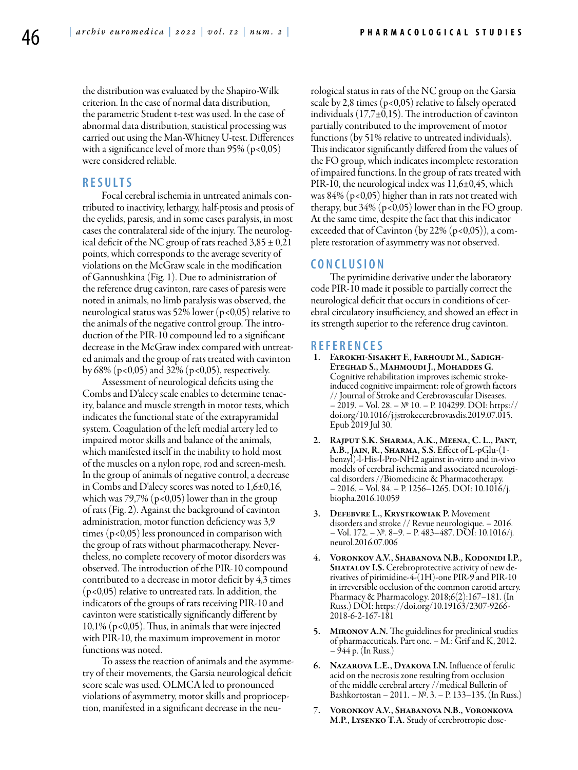the distribution was evaluated by the Shapiro-Wilk criterion. In the case of normal data distribution, the parametric Student t-test was used. In the case of abnormal data distribution, statistical processing was carried out using the Man-Whitney U-test. Differences with a significance level of more than  $95\%$  (p<0,05) were considered reliable.

## **R e s ult s**

Focal cerebral ischemia in untreated animals contributed to inactivity, lethargy, half-ptosis and ptosis of the eyelids, paresis, and in some cases paralysis, in most cases the contralateral side of the injury. The neurological deficit of the NC group of rats reached  $3,85 \pm 0,21$ points, which corresponds to the average severity of violations on the McGraw scale in the modification of Gannushkina (Fig. 1). Due to administration of the reference drug cavinton, rare cases of paresis were noted in animals, no limb paralysis was observed, the neurological status was 52% lower ( $p<0.05$ ) relative to the animals of the negative control group. The introduction of the PIR-10 compound led to a significant decrease in the McGraw index compared with untreated animals and the group of rats treated with cavinton by 68% (p<0,05) and 32% (p<0,05), respectively.

Assessment of neurological deficits using the Combs and D'alecy scale enables to determine tenacity, balance and muscle strength in motor tests, which indicates the functional state of the extrapyramidal system. Coagulation of the left medial artery led to impaired motor skills and balance of the animals, which manifested itself in the inability to hold most of the muscles on a nylon rope, rod and screen-mesh. In the group of animals of negative control, a decrease in Combs and D'alecy scores was noted to  $1,6\pm0,16$ , which was 79,7% ( $p < 0.05$ ) lower than in the group of rats (Fig. 2). Against the background of cavinton administration, motor function deficiency was 3,9 times (p<0,05) less pronounced in comparison with the group of rats without pharmacotherapy. Nevertheless, no complete recovery of motor disorders was observed. The introduction of the PIR-10 compound contributed to a decrease in motor deficit by 4,3 times (p<0,05) relative to untreated rats. In addition, the indicators of the groups of rats receiving PIR-10 and cavinton were statistically significantly different by 10,1% (p<0,05). Thus, in animals that were injected with PIR-10, the maximum improvement in motor functions was noted.

To assess the reaction of animals and the asymmetry of their movements, the Garsia neurological deficit score scale was used. OLMCA led to pronounced violations of asymmetry, motor skills and proprioception, manifested in a significant decrease in the neurological status in rats of the NC group on the Garsia scale by 2,8 times  $(p<0.05)$  relative to falsely operated individuals  $(17,7\pm0,15)$ . The introduction of cavinton partially contributed to the improvement of motor functions (by 51% relative to untreated individuals). This indicator significantly differed from the values of the FO group, which indicates incomplete restoration of impaired functions. In the group of rats treated with PIR-10, the neurological index was 11,6±0,45, which was  $84\%$  (p<0,05) higher than in rats not treated with therapy, but  $34\%$  (p<0,05) lower than in the FO group. At the same time, despite the fact that this indicator exceeded that of Cavinton (by  $22\%$  (p<0,05)), a complete restoration of asymmetry was not observed.

#### **C o n clu si o n**

The pyrimidine derivative under the laboratory code PIR-10 made it possible to partially correct the neurological deficit that occurs in conditions of cerebral circulatory insufficiency, and showed an effect in its strength superior to the reference drug cavinton.

### **R efe r e n ce s**

- 1. Farokhi-Sisakht F., Farhoudi M., Sadigh-Eteghad S., Mahmoudi J., Mohaddes G. Cognitive rehabilitation improves ischemic strokeinduced cognitive impairment: role of growth factors // Journal of Stroke and Cerebrovascular Diseases. – 2019. – Vol. 28. – № 10. – P. 104299. DOI: https:// doi.org/10.1016/j.jstrokecerebrovasdis.2019.07.015. Epub 2019 Jul 30.
- 2. RAJPUT S.K. SHARMA, A.K., MEENA, C. L., PANT, A.B., JAIN, R., SHARMA, S.S. Effect of L-pGlu-(1benzyl)-l-His-l-Pro-NH2 against in-vitro and in-vivo models of cerebral ischemia and associated neurological disorders //Biomedicine & Pharmacotherapy. – 2016. – Vol. 84. – P. 1256–1265. DOI: 10.1016/j. biopha.2016.10.059
- 3. Defebvre L., Krystkowiak P. Movement disorders and stroke // Revue neurologique. – 2016. – Vol. 172. – №. 8–9. – P. 483–487. DOI: 10.1016/j. neurol.2016.07.006
- 4. Voronkov A.V., Shabanova N.B., Kodonidi I.P., SHATALOV I.S. Cerebroprotective activity of new derivatives of pirimidine-4-(1H)-one PIR-9 and PIR-10 in irreversible occlusion of the common carotid artery. Pharmacy & Pharmacology. 2018;6(2):167–181. (In Russ.) DOI: https://doi.org/10.19163/2307-9266- 2018-6-2-167-181
- 5. Mironov A.N. The guidelines for preclinical studies of pharmaceuticals. Part one. – M.: Grif and K, 2012. – 944 p. (In Russ.)
- NAZAROVA L.E., DYAKOVA I.N. Influence of ferulic acid on the necrosis zone resulting from occlusion of the middle cerebral artery //medical Bulletin of Bashkortostan – 2011. – №. 3. – P. 133–135. (In Russ.)
- 7. Voronkov A.V., Shabanova N.B., Voronkova M.P., Lysenko T.A. Study of cerebrotropic dose-